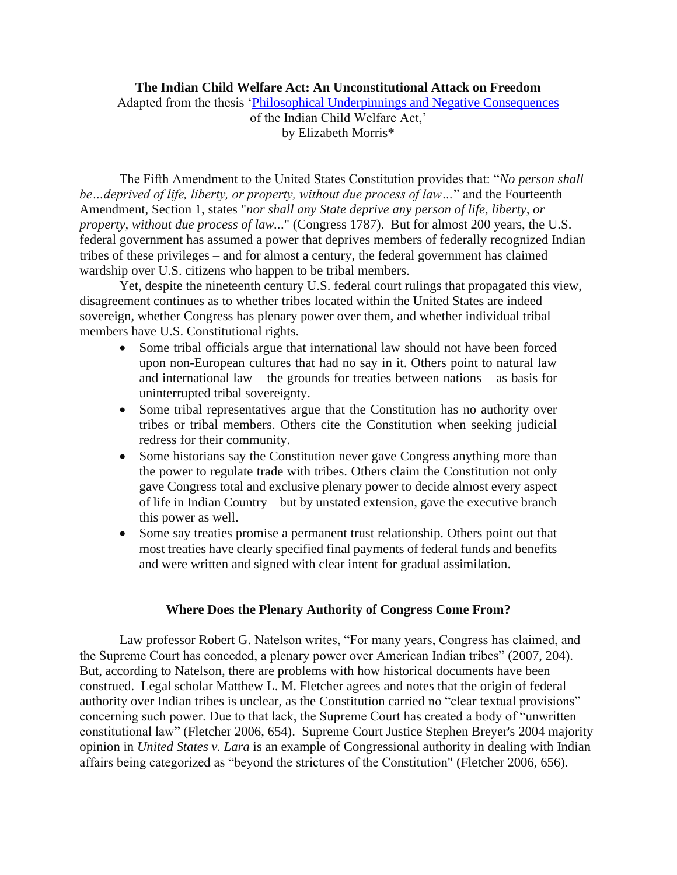## **The Indian Child Welfare Act: An Unconstitutional Attack on Freedom**

Adapted from the thesis ['Philosophical Underpinnings and Negative Consequences](https://digitalcommons.liberty.edu/masters/591/) of the Indian Child Welfare Act,' by Elizabeth Morris\*

The Fifth Amendment to the United States Constitution provides that: "*No person shall be…deprived of life, liberty, or property, without due process of law…*" and the Fourteenth Amendment, Section 1, states "*nor shall any State deprive any person of life, liberty, or property, without due process of law..*." (Congress 1787). But for almost 200 years, the U.S. federal government has assumed a power that deprives members of federally recognized Indian tribes of these privileges – and for almost a century, the federal government has claimed wardship over U.S. citizens who happen to be tribal members.

Yet, despite the nineteenth century U.S. federal court rulings that propagated this view, disagreement continues as to whether tribes located within the United States are indeed sovereign, whether Congress has plenary power over them, and whether individual tribal members have U.S. Constitutional rights.

- Some tribal officials argue that international law should not have been forced upon non-European cultures that had no say in it. Others point to natural law and international law – the grounds for treaties between nations – as basis for uninterrupted tribal sovereignty.
- Some tribal representatives argue that the Constitution has no authority over tribes or tribal members. Others cite the Constitution when seeking judicial redress for their community.
- Some historians say the Constitution never gave Congress anything more than the power to regulate trade with tribes. Others claim the Constitution not only gave Congress total and exclusive plenary power to decide almost every aspect of life in Indian Country – but by unstated extension, gave the executive branch this power as well.
- Some say treaties promise a permanent trust relationship. Others point out that most treaties have clearly specified final payments of federal funds and benefits and were written and signed with clear intent for gradual assimilation.

# **Where Does the Plenary Authority of Congress Come From?**

Law professor Robert G. Natelson writes, "For many years, Congress has claimed, and the Supreme Court has conceded, a plenary power over American Indian tribes" (2007, 204). But, according to Natelson, there are problems with how historical documents have been construed. Legal scholar Matthew L. M. Fletcher agrees and notes that the origin of federal authority over Indian tribes is unclear, as the Constitution carried no "clear textual provisions" concerning such power. Due to that lack, the Supreme Court has created a body of "unwritten constitutional law" (Fletcher 2006, 654). Supreme Court Justice Stephen Breyer's 2004 majority opinion in *United States v. Lara* is an example of Congressional authority in dealing with Indian affairs being categorized as "beyond the strictures of the Constitution" (Fletcher 2006, 656).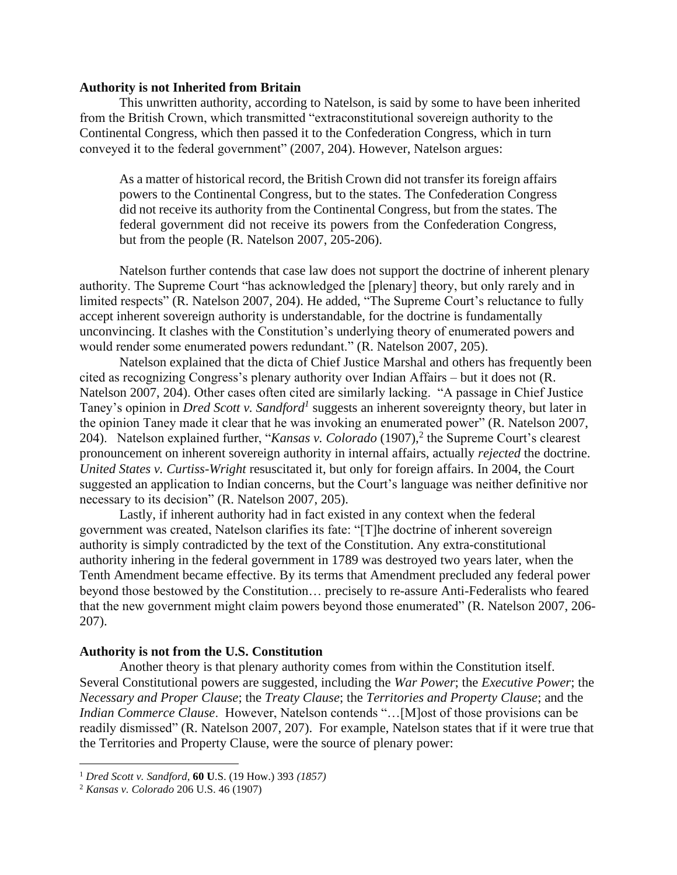#### **Authority is not Inherited from Britain**

This unwritten authority, according to Natelson, is said by some to have been inherited from the British Crown, which transmitted "extraconstitutional sovereign authority to the Continental Congress, which then passed it to the Confederation Congress, which in turn conveyed it to the federal government" (2007, 204). However, Natelson argues:

As a matter of historical record, the British Crown did not transfer its foreign affairs powers to the Continental Congress, but to the states. The Confederation Congress did not receive its authority from the Continental Congress, but from the states. The federal government did not receive its powers from the Confederation Congress, but from the people (R. Natelson 2007, 205-206).

Natelson further contends that case law does not support the doctrine of inherent plenary authority. The Supreme Court "has acknowledged the [plenary] theory, but only rarely and in limited respects" (R. Natelson 2007, 204). He added, "The Supreme Court's reluctance to fully accept inherent sovereign authority is understandable, for the doctrine is fundamentally unconvincing. It clashes with the Constitution's underlying theory of enumerated powers and would render some enumerated powers redundant." (R. Natelson 2007, 205).

Natelson explained that the dicta of Chief Justice Marshal and others has frequently been cited as recognizing Congress's plenary authority over Indian Affairs – but it does not (R. Natelson 2007, 204). Other cases often cited are similarly lacking. "A passage in Chief Justice Taney's opinion in *Dred Scott v. Sandford<sup>1</sup>* suggests an inherent sovereignty theory, but later in the opinion Taney made it clear that he was invoking an enumerated power" (R. Natelson 2007, 204). Natelson explained further, "*Kansas v. Colorado* (1907),<sup>2</sup> the Supreme Court's clearest pronouncement on inherent sovereign authority in internal affairs, actually *rejected* the doctrine. *United States v. Curtiss-Wright* resuscitated it, but only for foreign affairs. In 2004, the Court suggested an application to Indian concerns, but the Court's language was neither definitive nor necessary to its decision" (R. Natelson 2007, 205).

Lastly, if inherent authority had in fact existed in any context when the federal government was created, Natelson clarifies its fate: "[T]he doctrine of inherent sovereign authority is simply contradicted by the text of the Constitution. Any extra-constitutional authority inhering in the federal government in 1789 was destroyed two years later, when the Tenth Amendment became effective. By its terms that Amendment precluded any federal power beyond those bestowed by the Constitution… precisely to re-assure Anti-Federalists who feared that the new government might claim powers beyond those enumerated" (R. Natelson 2007, 206- 207).

#### **Authority is not from the U.S. Constitution**

Another theory is that plenary authority comes from within the Constitution itself. Several Constitutional powers are suggested, including the *War Power*; the *Executive Power*; the *Necessary and Proper Clause*; the *Treaty Clause*; the *Territories and Property Clause*; and the *Indian Commerce Clause*. However, Natelson contends "…[M]ost of those provisions can be readily dismissed" (R. Natelson 2007, 207). For example, Natelson states that if it were true that the Territories and Property Clause, were the source of plenary power:

<sup>1</sup> *Dred Scott v. Sandford,* **60 U**.S. (19 How.) 393 *(1857)*

<sup>2</sup> *Kansas v. Colorado* 206 U.S. 46 (1907)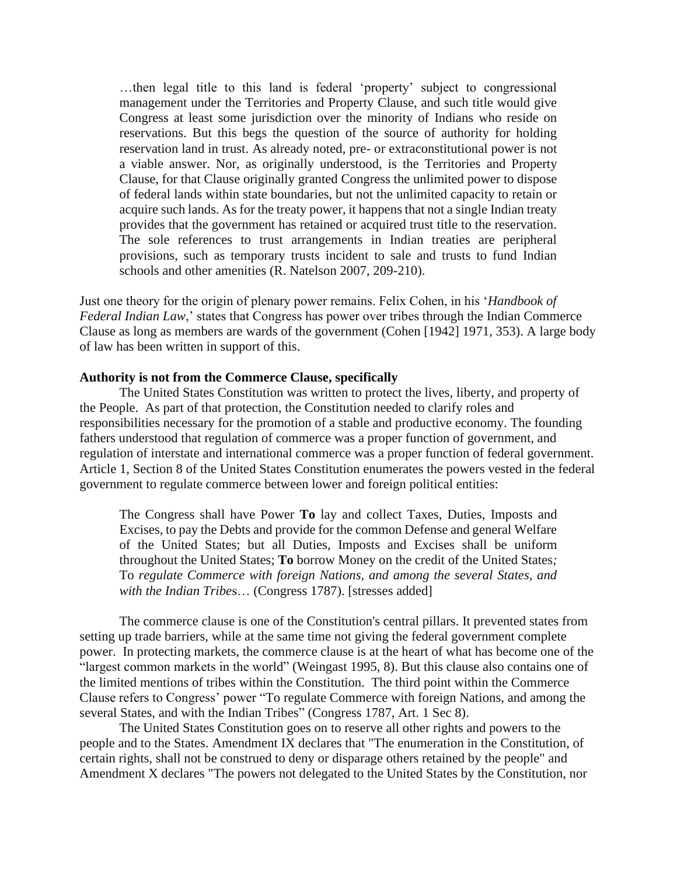…then legal title to this land is federal 'property' subject to congressional management under the Territories and Property Clause, and such title would give Congress at least some jurisdiction over the minority of Indians who reside on reservations. But this begs the question of the source of authority for holding reservation land in trust. As already noted, pre- or extraconstitutional power is not a viable answer. Nor, as originally understood, is the Territories and Property Clause, for that Clause originally granted Congress the unlimited power to dispose of federal lands within state boundaries, but not the unlimited capacity to retain or acquire such lands. As for the treaty power, it happens that not a single Indian treaty provides that the government has retained or acquired trust title to the reservation. The sole references to trust arrangements in Indian treaties are peripheral provisions, such as temporary trusts incident to sale and trusts to fund Indian schools and other amenities (R. Natelson 2007, 209-210).

Just one theory for the origin of plenary power remains. Felix Cohen, in his '*Handbook of Federal Indian Law*,' states that Congress has power over tribes through the Indian Commerce Clause as long as members are wards of the government (Cohen [1942] 1971, 353). A large body of law has been written in support of this.

### **Authority is not from the Commerce Clause, specifically**

The United States Constitution was written to protect the lives, liberty, and property of the People. As part of that protection, the Constitution needed to clarify roles and responsibilities necessary for the promotion of a stable and productive economy. The founding fathers understood that regulation of commerce was a proper function of government, and regulation of interstate and international commerce was a proper function of federal government. Article 1, Section 8 of the United States Constitution enumerates the powers vested in the federal government to regulate commerce between lower and foreign political entities:

The Congress shall have Power **To** lay and collect Taxes, Duties, Imposts and Excises, to pay the Debts and provide for the common Defense and general Welfare of the United States; but all Duties, Imposts and Excises shall be uniform throughout the United States; **To** borrow Money on the credit of the United States*;*  To *regulate Commerce with foreign Nations, and among the several States, and with the Indian Tribe*s… (Congress 1787). [stresses added]

The commerce clause is one of the Constitution's central pillars. It prevented states from setting up trade barriers, while at the same time not giving the federal government complete power. In protecting markets, the commerce clause is at the heart of what has become one of the "largest common markets in the world" (Weingast 1995, 8). But this clause also contains one of the limited mentions of tribes within the Constitution. The third point within the Commerce Clause refers to Congress' power "To regulate Commerce with foreign Nations, and among the several States, and with the Indian Tribes" (Congress 1787, Art. 1 Sec 8).

The United States Constitution goes on to reserve all other rights and powers to the people and to the States. Amendment IX declares that "The enumeration in the Constitution, of certain rights, shall not be construed to deny or disparage others retained by the people" and Amendment X declares "The powers not delegated to the United States by the Constitution, nor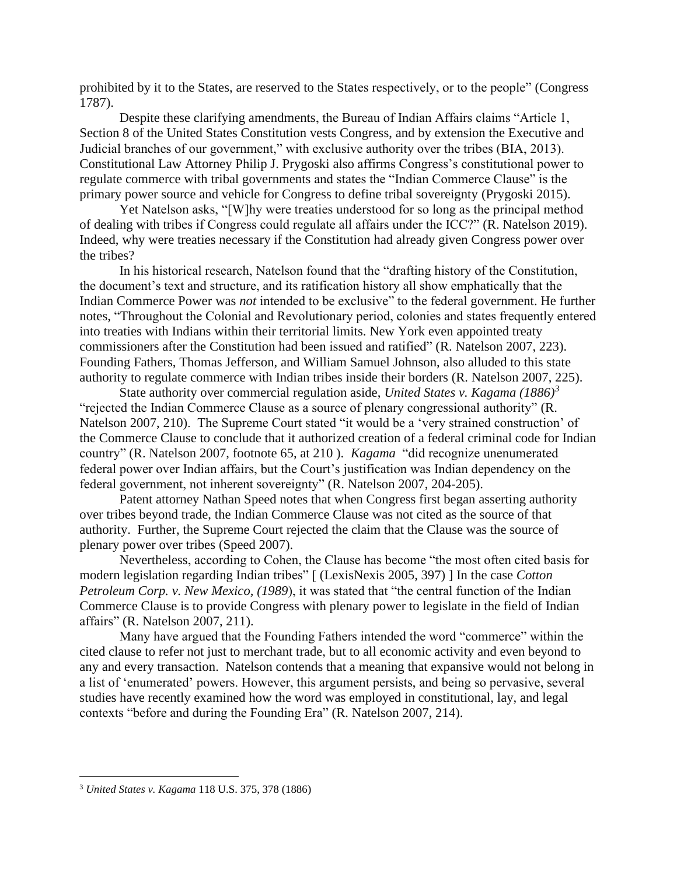prohibited by it to the States, are reserved to the States respectively, or to the people" (Congress 1787).

Despite these clarifying amendments, the Bureau of Indian Affairs claims "Article 1, Section 8 of the United States Constitution vests Congress, and by extension the Executive and Judicial branches of our government," with exclusive authority over the tribes (BIA, 2013). Constitutional Law Attorney Philip J. Prygoski also affirms Congress's constitutional power to regulate commerce with tribal governments and states the "Indian Commerce Clause" is the primary power source and vehicle for Congress to define tribal sovereignty (Prygoski 2015).

Yet Natelson asks, "[W]hy were treaties understood for so long as the principal method of dealing with tribes if Congress could regulate all affairs under the ICC?" (R. Natelson 2019). Indeed, why were treaties necessary if the Constitution had already given Congress power over the tribes?

In his historical research, Natelson found that the "drafting history of the Constitution, the document's text and structure, and its ratification history all show emphatically that the Indian Commerce Power was *not* intended to be exclusive" to the federal government. He further notes, "Throughout the Colonial and Revolutionary period, colonies and states frequently entered into treaties with Indians within their territorial limits. New York even appointed treaty commissioners after the Constitution had been issued and ratified" (R. Natelson 2007, 223). Founding Fathers, Thomas Jefferson, and William Samuel Johnson, also alluded to this state authority to regulate commerce with Indian tribes inside their borders (R. Natelson 2007, 225).

State authority over commercial regulation aside, *United States v. Kagama (1886)<sup>3</sup>* "rejected the Indian Commerce Clause as a source of plenary congressional authority" (R. Natelson 2007, 210). The Supreme Court stated "it would be a 'very strained construction' of the Commerce Clause to conclude that it authorized creation of a federal criminal code for Indian country" (R. Natelson 2007, footnote 65, at 210 ). *Kagama* "did recognize unenumerated federal power over Indian affairs, but the Court's justification was Indian dependency on the federal government, not inherent sovereignty" (R. Natelson 2007, 204-205).

Patent attorney Nathan Speed notes that when Congress first began asserting authority over tribes beyond trade, the Indian Commerce Clause was not cited as the source of that authority. Further, the Supreme Court rejected the claim that the Clause was the source of plenary power over tribes (Speed 2007).

Nevertheless, according to Cohen, the Clause has become "the most often cited basis for modern legislation regarding Indian tribes" [ (LexisNexis 2005, 397) ] In the case *Cotton Petroleum Corp. v. New Mexico, (1989*), it was stated that "the central function of the Indian Commerce Clause is to provide Congress with plenary power to legislate in the field of Indian affairs" (R. Natelson 2007, 211).

Many have argued that the Founding Fathers intended the word "commerce" within the cited clause to refer not just to merchant trade, but to all economic activity and even beyond to any and every transaction. Natelson contends that a meaning that expansive would not belong in a list of 'enumerated' powers. However, this argument persists, and being so pervasive, several studies have recently examined how the word was employed in constitutional, lay, and legal contexts "before and during the Founding Era" (R. Natelson 2007, 214).

<sup>3</sup> *United States v. Kagama* 118 U.S. 375, 378 (1886)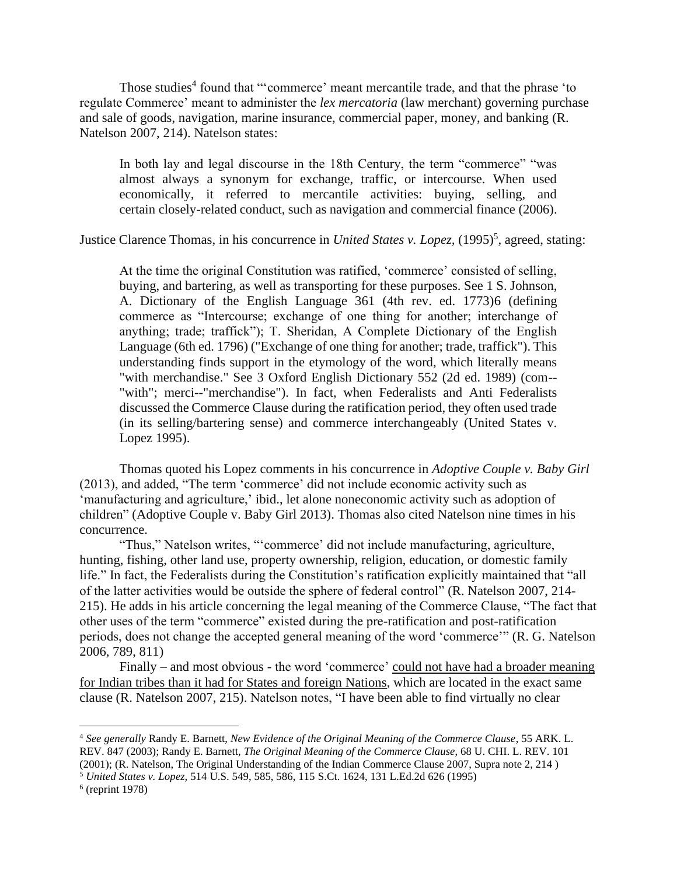Those studies<sup>4</sup> found that "'commerce' meant mercantile trade, and that the phrase 'to regulate Commerce' meant to administer the *lex mercatoria* (law merchant) governing purchase and sale of goods, navigation, marine insurance, commercial paper, money, and banking (R. Natelson 2007, 214). Natelson states:

In both lay and legal discourse in the 18th Century, the term "commerce" "was almost always a synonym for exchange, traffic, or intercourse. When used economically, it referred to mercantile activities: buying, selling, and certain closely-related conduct, such as navigation and commercial finance (2006).

Justice Clarence Thomas, in his concurrence in *United States v. Lopez*, (1995)<sup>5</sup>, agreed, stating:

At the time the original Constitution was ratified, 'commerce' consisted of selling, buying, and bartering, as well as transporting for these purposes. See 1 S. Johnson, A. Dictionary of the English Language 361 (4th rev. ed. 1773)6 (defining commerce as "Intercourse; exchange of one thing for another; interchange of anything; trade; traffick"); T. Sheridan, A Complete Dictionary of the English Language (6th ed. 1796) ("Exchange of one thing for another; trade, traffick"). This understanding finds support in the etymology of the word, which literally means "with merchandise." See 3 Oxford English Dictionary 552 (2d ed. 1989) (com-- "with"; merci--"merchandise"). In fact, when Federalists and Anti Federalists discussed the Commerce Clause during the ratification period, they often used trade (in its selling/bartering sense) and commerce interchangeably (United States v. Lopez 1995).

Thomas quoted his Lopez comments in his concurrence in *Adoptive Couple v. Baby Girl* (2013), and added, "The term 'commerce' did not include economic activity such as 'manufacturing and agriculture,' ibid., let alone noneconomic activity such as adoption of children" (Adoptive Couple v. Baby Girl 2013). Thomas also cited Natelson nine times in his concurrence.

"Thus," Natelson writes, "'commerce' did not include manufacturing, agriculture, hunting, fishing, other land use, property ownership, religion, education, or domestic family life." In fact, the Federalists during the Constitution's ratification explicitly maintained that "all of the latter activities would be outside the sphere of federal control" (R. Natelson 2007, 214- 215). He adds in his article concerning the legal meaning of the Commerce Clause, "The fact that other uses of the term "commerce" existed during the pre-ratification and post-ratification periods, does not change the accepted general meaning of the word 'commerce'" (R. G. Natelson 2006, 789, 811)

Finally – and most obvious - the word 'commerce' could not have had a broader meaning for Indian tribes than it had for States and foreign Nations, which are located in the exact same clause (R. Natelson 2007, 215). Natelson notes, "I have been able to find virtually no clear

<sup>4</sup> *See generally* Randy E. Barnett, *New Evidence of the Original Meaning of the Commerce Clause*, 55 ARK. L. REV. 847 (2003); Randy E. Barnett, *The Original Meaning of the Commerce Clause*, 68 U. CHI. L. REV. 101 (2001); (R. Natelson, The Original Understanding of the Indian Commerce Clause 2007, Supra note 2, 214 )

<sup>5</sup> *United States v. Lopez,* 514 U.S. 549, 585, 586, 115 S.Ct. 1624, 131 L.Ed.2d 626 (1995)

<sup>6</sup> (reprint 1978)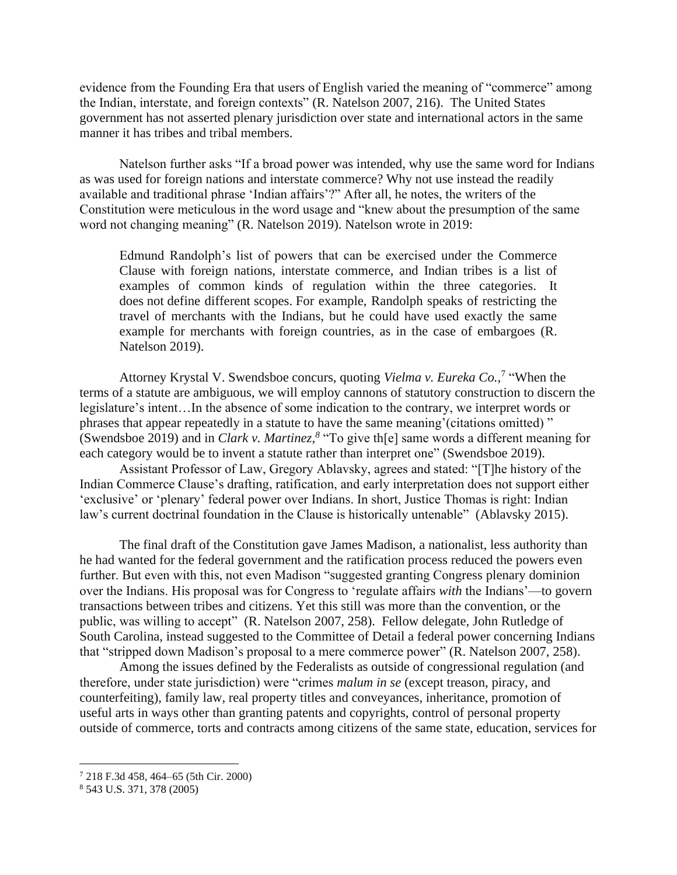evidence from the Founding Era that users of English varied the meaning of "commerce" among the Indian, interstate, and foreign contexts" (R. Natelson 2007, 216). The United States government has not asserted plenary jurisdiction over state and international actors in the same manner it has tribes and tribal members.

Natelson further asks "If a broad power was intended, why use the same word for Indians as was used for foreign nations and interstate commerce? Why not use instead the readily available and traditional phrase 'Indian affairs'?" After all, he notes, the writers of the Constitution were meticulous in the word usage and "knew about the presumption of the same word not changing meaning" (R. Natelson 2019). Natelson wrote in 2019:

Edmund Randolph's list of powers that can be exercised under the Commerce Clause with foreign nations, interstate commerce, and Indian tribes is a list of examples of common kinds of regulation within the three categories. It does not define different scopes. For example, Randolph speaks of restricting the travel of merchants with the Indians, but he could have used exactly the same example for merchants with foreign countries, as in the case of embargoes (R. Natelson 2019).

Attorney Krystal V. Swendsboe concurs, quoting *Vielma v. Eureka Co.*, 7 "When the terms of a statute are ambiguous, we will employ cannons of statutory construction to discern the legislature's intent…In the absence of some indication to the contrary, we interpret words or phrases that appear repeatedly in a statute to have the same meaning'(citations omitted) " (Swendsboe 2019) and in *Clark v. Martinez,<sup>8</sup>* "To give th[e] same words a different meaning for each category would be to invent a statute rather than interpret one" (Swendsboe 2019).

Assistant Professor of Law, Gregory Ablavsky, agrees and stated: "[T]he history of the Indian Commerce Clause's drafting, ratification, and early interpretation does not support either 'exclusive' or 'plenary' federal power over Indians. In short, Justice Thomas is right: Indian law's current doctrinal foundation in the Clause is historically untenable" (Ablavsky 2015).

The final draft of the Constitution gave James Madison, a nationalist, less authority than he had wanted for the federal government and the ratification process reduced the powers even further. But even with this, not even Madison "suggested granting Congress plenary dominion over the Indians. His proposal was for Congress to 'regulate affairs *with* the Indians'—to govern transactions between tribes and citizens. Yet this still was more than the convention, or the public, was willing to accept" (R. Natelson 2007, 258). Fellow delegate, John Rutledge of South Carolina, instead suggested to the Committee of Detail a federal power concerning Indians that "stripped down Madison's proposal to a mere commerce power" (R. Natelson 2007, 258).

Among the issues defined by the Federalists as outside of congressional regulation (and therefore, under state jurisdiction) were "crimes *malum in se* (except treason, piracy, and counterfeiting), family law, real property titles and conveyances, inheritance, promotion of useful arts in ways other than granting patents and copyrights, control of personal property outside of commerce, torts and contracts among citizens of the same state, education, services for

<sup>7</sup> 218 F.3d 458, 464–65 (5th Cir. 2000)

<sup>8</sup> 543 U.S. 371, 378 (2005)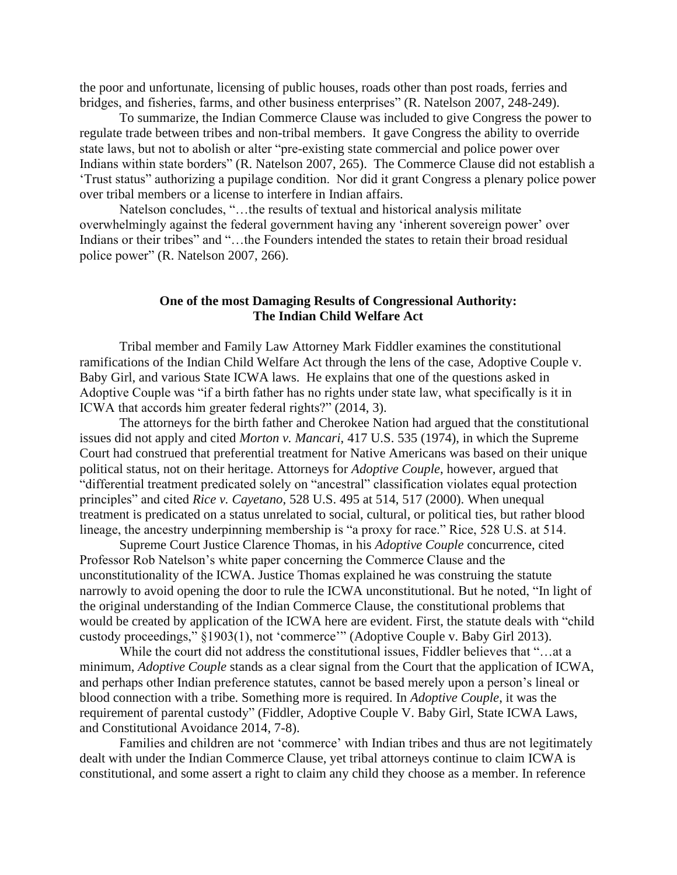the poor and unfortunate, licensing of public houses, roads other than post roads, ferries and bridges, and fisheries, farms, and other business enterprises" (R. Natelson 2007, 248-249).

To summarize, the Indian Commerce Clause was included to give Congress the power to regulate trade between tribes and non-tribal members. It gave Congress the ability to override state laws, but not to abolish or alter "pre-existing state commercial and police power over Indians within state borders" (R. Natelson 2007, 265). The Commerce Clause did not establish a 'Trust status" authorizing a pupilage condition. Nor did it grant Congress a plenary police power over tribal members or a license to interfere in Indian affairs.

Natelson concludes, "…the results of textual and historical analysis militate overwhelmingly against the federal government having any 'inherent sovereign power' over Indians or their tribes" and "…the Founders intended the states to retain their broad residual police power" (R. Natelson 2007, 266).

### **One of the most Damaging Results of Congressional Authority: The Indian Child Welfare Act**

Tribal member and Family Law Attorney Mark Fiddler examines the constitutional ramifications of the Indian Child Welfare Act through the lens of the case, Adoptive Couple v. Baby Girl, and various State ICWA laws. He explains that one of the questions asked in Adoptive Couple was "if a birth father has no rights under state law, what specifically is it in ICWA that accords him greater federal rights?" (2014, 3).

The attorneys for the birth father and Cherokee Nation had argued that the constitutional issues did not apply and cited *Morton v. Mancari*, 417 U.S. 535 (1974), in which the Supreme Court had construed that preferential treatment for Native Americans was based on their unique political status, not on their heritage. Attorneys for *Adoptive Couple*, however, argued that "differential treatment predicated solely on "ancestral" classification violates equal protection principles" and cited *Rice v. Cayetano*, 528 U.S. 495 at 514, 517 (2000). When unequal treatment is predicated on a status unrelated to social, cultural, or political ties, but rather blood lineage, the ancestry underpinning membership is "a proxy for race." Rice, 528 U.S. at 514.

Supreme Court Justice Clarence Thomas, in his *Adoptive Couple* concurrence, cited Professor Rob Natelson's white paper concerning the Commerce Clause and the unconstitutionality of the ICWA. Justice Thomas explained he was construing the statute narrowly to avoid opening the door to rule the ICWA unconstitutional. But he noted, "In light of the original understanding of the Indian Commerce Clause, the constitutional problems that would be created by application of the ICWA here are evident. First, the statute deals with "child custody proceedings," §1903(1), not 'commerce'" (Adoptive Couple v. Baby Girl 2013).

While the court did not address the constitutional issues, Fiddler believes that "…at a minimum, *Adoptive Couple* stands as a clear signal from the Court that the application of ICWA, and perhaps other Indian preference statutes, cannot be based merely upon a person's lineal or blood connection with a tribe. Something more is required. In *Adoptive Couple*, it was the requirement of parental custody" (Fiddler, Adoptive Couple V. Baby Girl, State ICWA Laws, and Constitutional Avoidance 2014, 7-8).

Families and children are not 'commerce' with Indian tribes and thus are not legitimately dealt with under the Indian Commerce Clause, yet tribal attorneys continue to claim ICWA is constitutional, and some assert a right to claim any child they choose as a member. In reference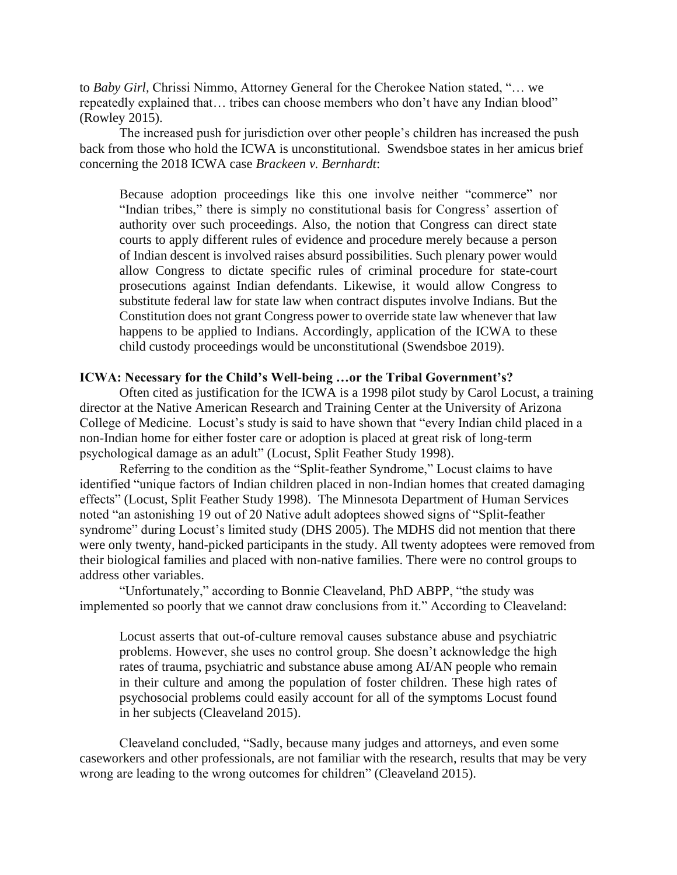to *Baby Girl,* Chrissi Nimmo, Attorney General for the Cherokee Nation stated, "… we repeatedly explained that… tribes can choose members who don't have any Indian blood" (Rowley 2015).

The increased push for jurisdiction over other people's children has increased the push back from those who hold the ICWA is unconstitutional. Swendsboe states in her amicus brief concerning the 2018 ICWA case *Brackeen v. Bernhardt*:

Because adoption proceedings like this one involve neither "commerce" nor "Indian tribes," there is simply no constitutional basis for Congress' assertion of authority over such proceedings. Also, the notion that Congress can direct state courts to apply different rules of evidence and procedure merely because a person of Indian descent is involved raises absurd possibilities. Such plenary power would allow Congress to dictate specific rules of criminal procedure for state-court prosecutions against Indian defendants. Likewise, it would allow Congress to substitute federal law for state law when contract disputes involve Indians. But the Constitution does not grant Congress power to override state law whenever that law happens to be applied to Indians. Accordingly, application of the ICWA to these child custody proceedings would be unconstitutional (Swendsboe 2019).

## **ICWA: Necessary for the Child's Well-being …or the Tribal Government's?**

Often cited as justification for the ICWA is a 1998 pilot study by Carol Locust, a training director at the Native American Research and Training Center at the University of Arizona College of Medicine. Locust's study is said to have shown that "every Indian child placed in a non-Indian home for either foster care or adoption is placed at great risk of long-term psychological damage as an adult" (Locust, Split Feather Study 1998).

Referring to the condition as the "Split-feather Syndrome," Locust claims to have identified "unique factors of Indian children placed in non-Indian homes that created damaging effects" (Locust, Split Feather Study 1998). The Minnesota Department of Human Services noted "an astonishing 19 out of 20 Native adult adoptees showed signs of "Split-feather syndrome" during Locust's limited study (DHS 2005). The MDHS did not mention that there were only twenty, hand-picked participants in the study. All twenty adoptees were removed from their biological families and placed with non-native families. There were no control groups to address other variables.

"Unfortunately," according to Bonnie Cleaveland, PhD ABPP, "the study was implemented so poorly that we cannot draw conclusions from it." According to Cleaveland:

Locust asserts that out-of-culture removal causes substance abuse and psychiatric problems. However, she uses no control group. She doesn't acknowledge the high rates of trauma, psychiatric and substance abuse among AI/AN people who remain in their culture and among the population of foster children. These high rates of psychosocial problems could easily account for all of the symptoms Locust found in her subjects (Cleaveland 2015).

Cleaveland concluded, "Sadly, because many judges and attorneys, and even some caseworkers and other professionals, are not familiar with the research, results that may be very wrong are leading to the wrong outcomes for children" (Cleaveland 2015).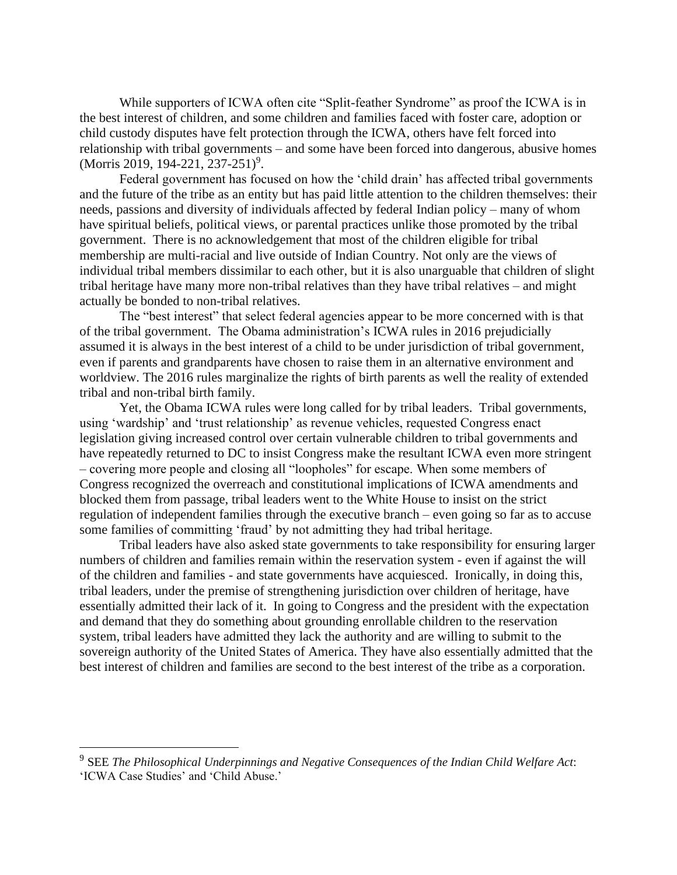While supporters of ICWA often cite "Split-feather Syndrome" as proof the ICWA is in the best interest of children, and some children and families faced with foster care, adoption or child custody disputes have felt protection through the ICWA, others have felt forced into relationship with tribal governments – and some have been forced into dangerous, abusive homes  $(Morris 2019, 194-221, 237-251)^9$ .

Federal government has focused on how the 'child drain' has affected tribal governments and the future of the tribe as an entity but has paid little attention to the children themselves: their needs, passions and diversity of individuals affected by federal Indian policy – many of whom have spiritual beliefs, political views, or parental practices unlike those promoted by the tribal government. There is no acknowledgement that most of the children eligible for tribal membership are multi-racial and live outside of Indian Country. Not only are the views of individual tribal members dissimilar to each other, but it is also unarguable that children of slight tribal heritage have many more non-tribal relatives than they have tribal relatives – and might actually be bonded to non-tribal relatives.

The "best interest" that select federal agencies appear to be more concerned with is that of the tribal government. The Obama administration's ICWA rules in 2016 prejudicially assumed it is always in the best interest of a child to be under jurisdiction of tribal government, even if parents and grandparents have chosen to raise them in an alternative environment and worldview. The 2016 rules marginalize the rights of birth parents as well the reality of extended tribal and non-tribal birth family.

Yet, the Obama ICWA rules were long called for by tribal leaders. Tribal governments, using 'wardship' and 'trust relationship' as revenue vehicles, requested Congress enact legislation giving increased control over certain vulnerable children to tribal governments and have repeatedly returned to DC to insist Congress make the resultant ICWA even more stringent – covering more people and closing all "loopholes" for escape. When some members of Congress recognized the overreach and constitutional implications of ICWA amendments and blocked them from passage, tribal leaders went to the White House to insist on the strict regulation of independent families through the executive branch – even going so far as to accuse some families of committing 'fraud' by not admitting they had tribal heritage.

Tribal leaders have also asked state governments to take responsibility for ensuring larger numbers of children and families remain within the reservation system - even if against the will of the children and families - and state governments have acquiesced. Ironically, in doing this, tribal leaders, under the premise of strengthening jurisdiction over children of heritage, have essentially admitted their lack of it. In going to Congress and the president with the expectation and demand that they do something about grounding enrollable children to the reservation system, tribal leaders have admitted they lack the authority and are willing to submit to the sovereign authority of the United States of America. They have also essentially admitted that the best interest of children and families are second to the best interest of the tribe as a corporation.

<sup>9</sup> SEE *The Philosophical Underpinnings and Negative Consequences of the Indian Child Welfare Act*: 'ICWA Case Studies' and 'Child Abuse.'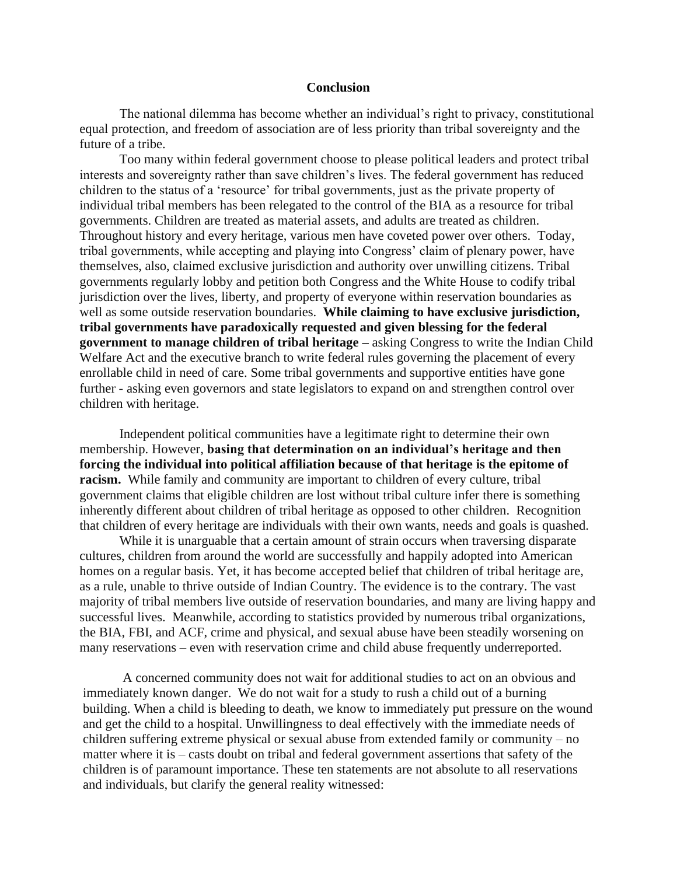#### **Conclusion**

The national dilemma has become whether an individual's right to privacy, constitutional equal protection, and freedom of association are of less priority than tribal sovereignty and the future of a tribe.

Too many within federal government choose to please political leaders and protect tribal interests and sovereignty rather than save children's lives. The federal government has reduced children to the status of a 'resource' for tribal governments, just as the private property of individual tribal members has been relegated to the control of the BIA as a resource for tribal governments. Children are treated as material assets, and adults are treated as children. Throughout history and every heritage, various men have coveted power over others. Today, tribal governments, while accepting and playing into Congress' claim of plenary power, have themselves, also, claimed exclusive jurisdiction and authority over unwilling citizens. Tribal governments regularly lobby and petition both Congress and the White House to codify tribal jurisdiction over the lives, liberty, and property of everyone within reservation boundaries as well as some outside reservation boundaries. **While claiming to have exclusive jurisdiction, tribal governments have paradoxically requested and given blessing for the federal government to manage children of tribal heritage –** asking Congress to write the Indian Child Welfare Act and the executive branch to write federal rules governing the placement of every enrollable child in need of care. Some tribal governments and supportive entities have gone further - asking even governors and state legislators to expand on and strengthen control over children with heritage.

Independent political communities have a legitimate right to determine their own membership. However, **basing that determination on an individual's heritage and then forcing the individual into political affiliation because of that heritage is the epitome of racism.** While family and community are important to children of every culture, tribal government claims that eligible children are lost without tribal culture infer there is something inherently different about children of tribal heritage as opposed to other children. Recognition that children of every heritage are individuals with their own wants, needs and goals is quashed.

While it is unarguable that a certain amount of strain occurs when traversing disparate cultures, children from around the world are successfully and happily adopted into American homes on a regular basis. Yet, it has become accepted belief that children of tribal heritage are, as a rule, unable to thrive outside of Indian Country. The evidence is to the contrary. The vast majority of tribal members live outside of reservation boundaries, and many are living happy and successful lives. Meanwhile, according to statistics provided by numerous tribal organizations, the BIA, FBI, and ACF, crime and physical, and sexual abuse have been steadily worsening on many reservations – even with reservation crime and child abuse frequently underreported.

A concerned community does not wait for additional studies to act on an obvious and immediately known danger. We do not wait for a study to rush a child out of a burning building. When a child is bleeding to death, we know to immediately put pressure on the wound and get the child to a hospital. Unwillingness to deal effectively with the immediate needs of children suffering extreme physical or sexual abuse from extended family or community – no matter where it is – casts doubt on tribal and federal government assertions that safety of the children is of paramount importance. These ten statements are not absolute to all reservations and individuals, but clarify the general reality witnessed: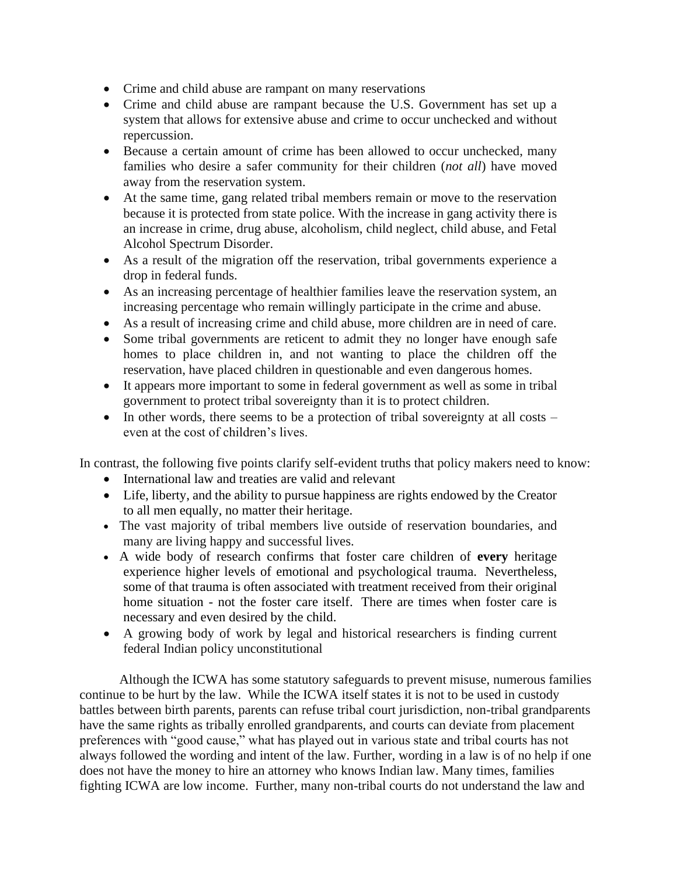- Crime and child abuse are rampant on many reservations
- Crime and child abuse are rampant because the U.S. Government has set up a system that allows for extensive abuse and crime to occur unchecked and without repercussion.
- Because a certain amount of crime has been allowed to occur unchecked, many families who desire a safer community for their children (*not all*) have moved away from the reservation system.
- At the same time, gang related tribal members remain or move to the reservation because it is protected from state police. With the increase in gang activity there is an increase in crime, drug abuse, alcoholism, child neglect, child abuse, and Fetal Alcohol Spectrum Disorder.
- As a result of the migration off the reservation, tribal governments experience a drop in federal funds.
- As an increasing percentage of healthier families leave the reservation system, an increasing percentage who remain willingly participate in the crime and abuse.
- As a result of increasing crime and child abuse, more children are in need of care.
- Some tribal governments are reticent to admit they no longer have enough safe homes to place children in, and not wanting to place the children off the reservation, have placed children in questionable and even dangerous homes.
- It appears more important to some in federal government as well as some in tribal government to protect tribal sovereignty than it is to protect children.
- In other words, there seems to be a protection of tribal sovereignty at all costs even at the cost of children's lives.

In contrast, the following five points clarify self-evident truths that policy makers need to know:

- International law and treaties are valid and relevant
- Life, liberty, and the ability to pursue happiness are rights endowed by the Creator to all men equally, no matter their heritage.
- The vast majority of tribal members live outside of reservation boundaries, and many are living happy and successful lives.
- A wide body of research confirms that foster care children of **every** heritage experience higher levels of emotional and psychological trauma. Nevertheless, some of that trauma is often associated with treatment received from their original home situation - not the foster care itself. There are times when foster care is necessary and even desired by the child.
- A growing body of work by legal and historical researchers is finding current federal Indian policy unconstitutional

Although the ICWA has some statutory safeguards to prevent misuse, numerous families continue to be hurt by the law. While the ICWA itself states it is not to be used in custody battles between birth parents, parents can refuse tribal court jurisdiction, non-tribal grandparents have the same rights as tribally enrolled grandparents, and courts can deviate from placement preferences with "good cause," what has played out in various state and tribal courts has not always followed the wording and intent of the law. Further, wording in a law is of no help if one does not have the money to hire an attorney who knows Indian law. Many times, families fighting ICWA are low income. Further, many non-tribal courts do not understand the law and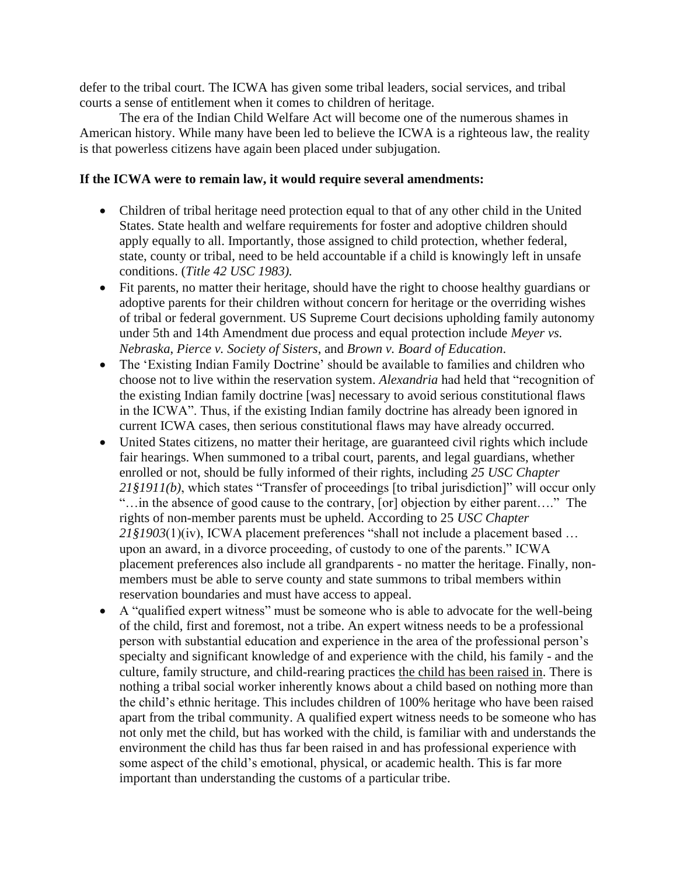defer to the tribal court. The ICWA has given some tribal leaders, social services, and tribal courts a sense of entitlement when it comes to children of heritage.

The era of the Indian Child Welfare Act will become one of the numerous shames in American history. While many have been led to believe the ICWA is a righteous law, the reality is that powerless citizens have again been placed under subjugation.

# **If the ICWA were to remain law, it would require several amendments:**

- Children of tribal heritage need protection equal to that of any other child in the United States. State health and welfare requirements for foster and adoptive children should apply equally to all. Importantly, those assigned to child protection, whether federal, state, county or tribal, need to be held accountable if a child is knowingly left in unsafe conditions. (*Title 42 USC 1983).*
- Fit parents, no matter their heritage, should have the right to choose healthy guardians or adoptive parents for their children without concern for heritage or the overriding wishes of tribal or federal government. US Supreme Court decisions upholding family autonomy under 5th and 14th Amendment due process and equal protection include *Meyer vs. Nebraska*, *Pierce v. Society of Sisters*, and *Brown v. Board of Education*.
- The 'Existing Indian Family Doctrine' should be available to families and children who choose not to live within the reservation system. *Alexandria* had held that "recognition of the existing Indian family doctrine [was] necessary to avoid serious constitutional flaws in the ICWA". Thus, if the existing Indian family doctrine has already been ignored in current ICWA cases, then serious constitutional flaws may have already occurred.
- United States citizens, no matter their heritage, are guaranteed civil rights which include fair hearings. When summoned to a tribal court, parents, and legal guardians, whether enrolled or not, should be fully informed of their rights, including *25 USC Chapter 21§1911(b)*, which states "Transfer of proceedings [to tribal jurisdiction]" will occur only "…in the absence of good cause to the contrary, [or] objection by either parent…." The rights of non-member parents must be upheld. According to 25 *USC Chapter 21§1903*(1)(iv), ICWA placement preferences "shall not include a placement based … upon an award, in a divorce proceeding, of custody to one of the parents." ICWA placement preferences also include all grandparents - no matter the heritage. Finally, nonmembers must be able to serve county and state summons to tribal members within reservation boundaries and must have access to appeal.
- A "qualified expert witness" must be someone who is able to advocate for the well-being of the child, first and foremost, not a tribe. An expert witness needs to be a professional person with substantial education and experience in the area of the professional person's specialty and significant knowledge of and experience with the child, his family - and the culture, family structure, and child-rearing practices the child has been raised in. There is nothing a tribal social worker inherently knows about a child based on nothing more than the child's ethnic heritage. This includes children of 100% heritage who have been raised apart from the tribal community. A qualified expert witness needs to be someone who has not only met the child, but has worked with the child, is familiar with and understands the environment the child has thus far been raised in and has professional experience with some aspect of the child's emotional, physical, or academic health. This is far more important than understanding the customs of a particular tribe.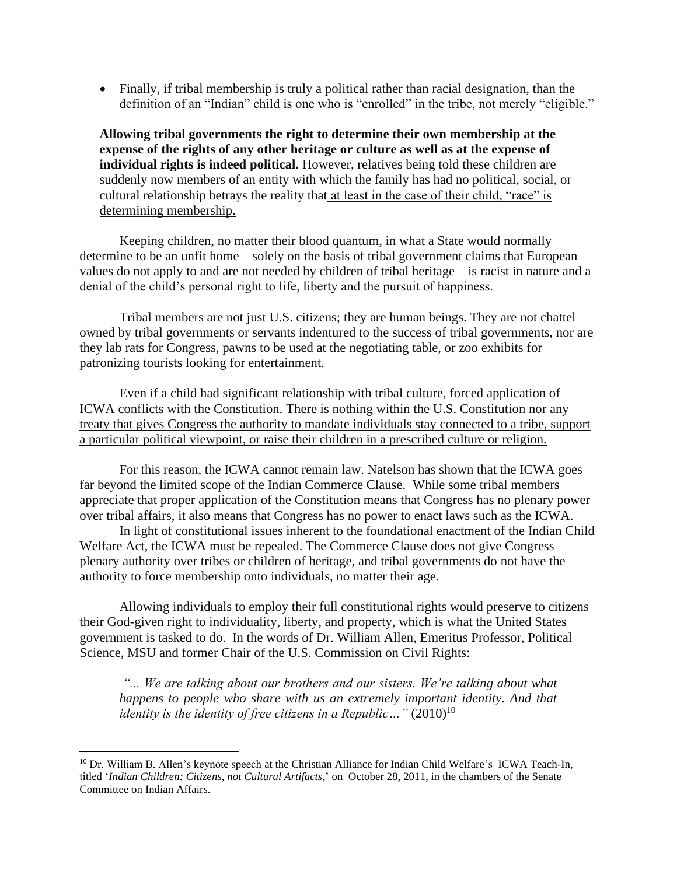• Finally, if tribal membership is truly a political rather than racial designation, than the definition of an "Indian" child is one who is "enrolled" in the tribe, not merely "eligible."

**Allowing tribal governments the right to determine their own membership at the expense of the rights of any other heritage or culture as well as at the expense of individual rights is indeed political.** However, relatives being told these children are suddenly now members of an entity with which the family has had no political, social, or cultural relationship betrays the reality that at least in the case of their child, "race" is determining membership.

Keeping children, no matter their blood quantum, in what a State would normally determine to be an unfit home – solely on the basis of tribal government claims that European values do not apply to and are not needed by children of tribal heritage – is racist in nature and a denial of the child's personal right to life, liberty and the pursuit of happiness.

Tribal members are not just U.S. citizens; they are human beings. They are not chattel owned by tribal governments or servants indentured to the success of tribal governments, nor are they lab rats for Congress, pawns to be used at the negotiating table, or zoo exhibits for patronizing tourists looking for entertainment.

Even if a child had significant relationship with tribal culture, forced application of ICWA conflicts with the Constitution. There is nothing within the U.S. Constitution nor any treaty that gives Congress the authority to mandate individuals stay connected to a tribe, support a particular political viewpoint, or raise their children in a prescribed culture or religion.

For this reason, the ICWA cannot remain law. Natelson has shown that the ICWA goes far beyond the limited scope of the Indian Commerce Clause. While some tribal members appreciate that proper application of the Constitution means that Congress has no plenary power over tribal affairs, it also means that Congress has no power to enact laws such as the ICWA.

In light of constitutional issues inherent to the foundational enactment of the Indian Child Welfare Act, the ICWA must be repealed. The Commerce Clause does not give Congress plenary authority over tribes or children of heritage, and tribal governments do not have the authority to force membership onto individuals, no matter their age.

Allowing individuals to employ their full constitutional rights would preserve to citizens their God-given right to individuality, liberty, and property, which is what the United States government is tasked to do. In the words of Dr. William Allen, Emeritus Professor, Political Science, MSU and former Chair of the U.S. Commission on Civil Rights:

*"... We are talking about our brothers and our sisters. We're talking about what happens to people who share with us an extremely important identity. And that identity is the identity of free citizens in a Republic...*"  $(2010)^{10}$ 

<sup>&</sup>lt;sup>10</sup> Dr. William B. Allen's keynote speech at the Christian Alliance for Indian Child Welfare's ICWA Teach-In, titled '*Indian Children: Citizens, not Cultural Artifacts*,' on October 28, 2011, in the chambers of the Senate Committee on Indian Affairs.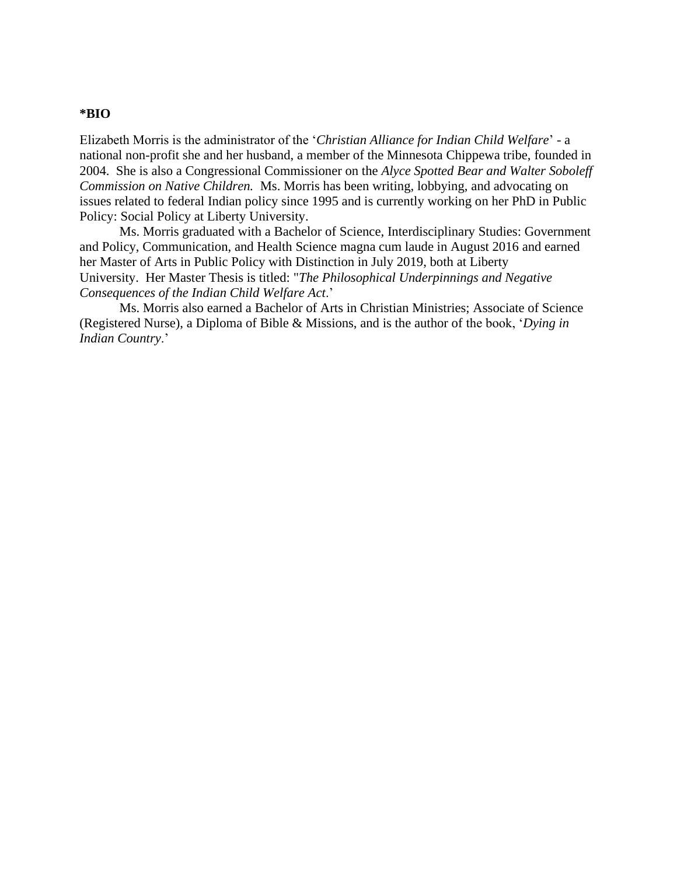#### **\*BIO**

Elizabeth Morris is the administrator of the '*Christian Alliance for Indian Child Welfare*' - a national non-profit she and her husband, a member of the Minnesota Chippewa tribe, founded in 2004. She is also a Congressional Commissioner on the *Alyce Spotted Bear and Walter Soboleff Commission on Native Children.* Ms. Morris has been writing, lobbying, and advocating on issues related to federal Indian policy since 1995 and is currently working on her PhD in Public Policy: Social Policy at Liberty University.

Ms. Morris graduated with a Bachelor of Science, Interdisciplinary Studies: Government and Policy, Communication, and Health Science magna cum laude in August 2016 and earned her Master of Arts in Public Policy with Distinction in July 2019, both at Liberty University. Her Master Thesis is titled: "*The Philosophical Underpinnings and Negative Consequences of the Indian Child Welfare Act*.'

Ms. Morris also earned a Bachelor of Arts in Christian Ministries; Associate of Science (Registered Nurse), a Diploma of Bible & Missions, and is the author of the book, '*Dying in Indian Country*.'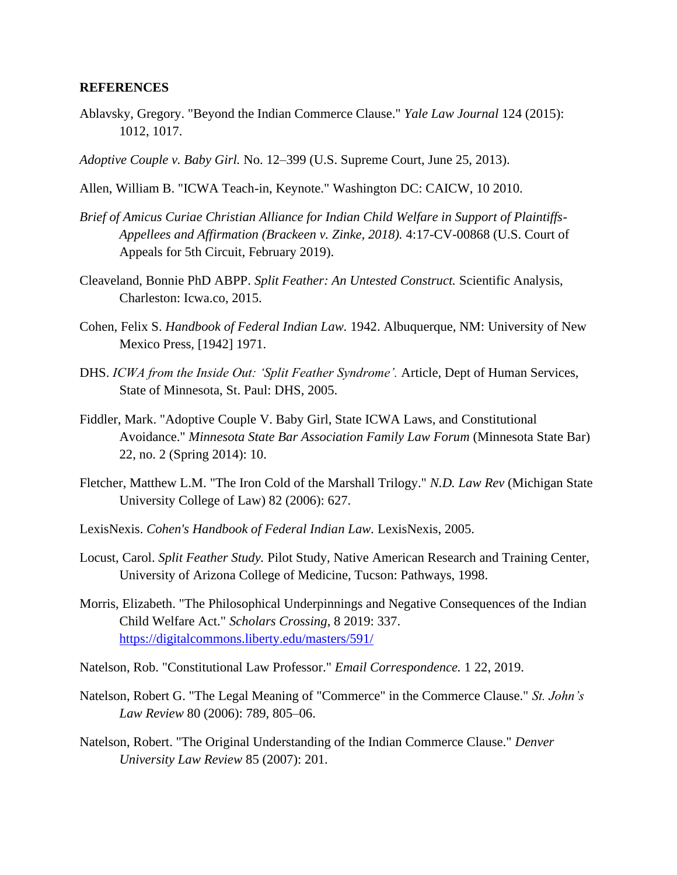### **REFERENCES**

- Ablavsky, Gregory. "Beyond the Indian Commerce Clause." *Yale Law Journal* 124 (2015): 1012, 1017.
- *Adoptive Couple v. Baby Girl.* No. 12–399 (U.S. Supreme Court, June 25, 2013).
- Allen, William B. "ICWA Teach-in, Keynote." Washington DC: CAICW, 10 2010.
- *Brief of Amicus Curiae Christian Alliance for Indian Child Welfare in Support of Plaintiffs-Appellees and Affirmation (Brackeen v. Zinke, 2018).* 4:17-CV-00868 (U.S. Court of Appeals for 5th Circuit, February 2019).
- Cleaveland, Bonnie PhD ABPP. *Split Feather: An Untested Construct.* Scientific Analysis, Charleston: Icwa.co, 2015.
- Cohen, Felix S. *Handbook of Federal Indian Law.* 1942. Albuquerque, NM: University of New Mexico Press, [1942] 1971.
- DHS. *ICWA from the Inside Out: 'Split Feather Syndrome'.* Article, Dept of Human Services, State of Minnesota, St. Paul: DHS, 2005.
- Fiddler, Mark. "Adoptive Couple V. Baby Girl, State ICWA Laws, and Constitutional Avoidance." *Minnesota State Bar Association Family Law Forum* (Minnesota State Bar) 22, no. 2 (Spring 2014): 10.
- Fletcher, Matthew L.M. "The Iron Cold of the Marshall Trilogy." *N.D. Law Rev* (Michigan State University College of Law) 82 (2006): 627.
- LexisNexis. *Cohen's Handbook of Federal Indian Law.* LexisNexis, 2005.
- Locust, Carol. *Split Feather Study.* Pilot Study, Native American Research and Training Center, University of Arizona College of Medicine, Tucson: Pathways, 1998.
- Morris, Elizabeth. "The Philosophical Underpinnings and Negative Consequences of the Indian Child Welfare Act." *Scholars Crossing*, 8 2019: 337. [https://digitalcommons.liberty.edu/masters/591/](https://outlook.office.com/owa/redir.aspx?REF=Zf4RUoaS59UOTWKdsz-JGWdMDiLwY_14WS_ncmVpS0aXQlXDuiHXCAFodHRwczovL2RpZ2l0YWxjb21tb25zLmxpYmVydHkuZWR1L21hc3RlcnMvNTkxLw..)
- Natelson, Rob. "Constitutional Law Professor." *Email Correspondence.* 1 22, 2019.
- Natelson, Robert G. "The Legal Meaning of "Commerce" in the Commerce Clause." *St. John's Law Review* 80 (2006): 789, 805–06.
- Natelson, Robert. "The Original Understanding of the Indian Commerce Clause." *Denver University Law Review* 85 (2007): 201.